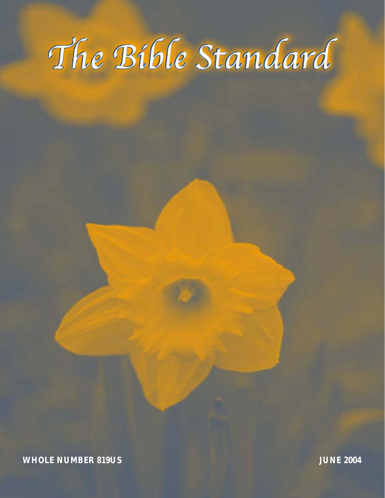# The Bible Standard

**WHOLE NUMBER 819US JUNE 2004**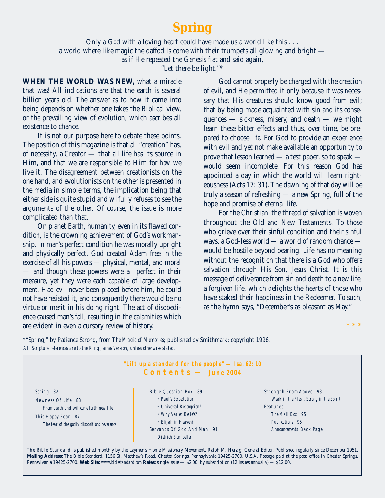# **Spring**

Only a God with a loving heart could have made us a world like this . . . a world where like magic the daffodils come with their trumpets all glowing and bright as if He repeated the Genesis fiat and said again,

"Let there be light."\*

**WHEN THE WORLD WAS NEW,** what a miracle that was! All indications are that the earth is several billion years old. The answer as to how it came into being depends on whether one takes the Biblical view, or the prevailing view of evolution, which ascribes all existence to chance.

It is not our purpose here to debate these points. The position of this magazine is that all "creation" has, of necessity, a Creator — that all life has its source in Him, and that we are responsible to Him for *how* we live it. The disagreement between creationists on the one hand, and evolutionists on the other is presented in the media in simple terms, the implication being that either side is quite stupid and wilfully refuses to see the arguments of the other. Of course, the issue is more complicated than that.

On planet Earth, humanity, even in its flawed condition, is the crowning achievement of God's workmanship. In man's perfect condition he was morally upright and physically perfect. God created Adam free in the exercise of all his powers — physical, mental, and moral — and though these powers were all perfect in their measure, yet they were each capable of large development. Had evil never been placed before him, he could not have resisted it, and consequently there would be no virtue or merit in his doing right. The act of disobedience caused man's fall, resulting in the calamities which are evident in even a cursory review of history.

God cannot properly be charged with the creation of evil, and He permitted it only because it was necessary that His creatures should know good from evil; that by being made acquainted with sin and its consequences — sickness, misery, and death — we might learn these bitter effects and thus, over time, be prepared to choose *life.* For God to provide an experience with evil and yet not make available an opportunity to prove that lesson learned — a test paper, so to speak would seem incomplete. For this reason God has appointed a day in which the world will learn righteousness (Acts 17: 31). The dawning of that day will be truly a season of refreshing — a new Spring, full of the hope and promise of eternal life.

For the Christian, the thread of salvation is woven throughout the Old and New Testaments. To those who grieve over their sinful condition and their sinful ways, a God-less world — a world of random chance would be hostile beyond bearing. Life has no meaning without the recognition that there is a God who offers salvation through His Son, Jesus Christ. It is this message of deliverance from sin and death to a new life, a forgiven life, which delights the hearts of those who have staked their happiness in the Redeemer. To such, as the hymn says, "December's as pleasant as May."

**\*\*\***

*All Scripture references are to the King James Version, unless otherwise stated.* \*"Spring," by Patience Strong, from *The Magic of Memories;* published by Smithmark; copyright 1996.



The Bible Standard is published monthly by the Laymen's Home Missionary Movement, Ralph M. Herzig, General Editor. Published regularly since December 1951. **Mailing Address:** The Bible Standard, 1156 St. Matthew's Road, Chester Springs, Pennsylvania 19425-2700, U.S.A. Postage paid at the post office in Chester Springs, Pennsylvania 19425-2700. **Web Site:** *www.biblestandard.com* **Rates:** single issue — \$2.00; by subscription (12 issues annually) — \$12.00.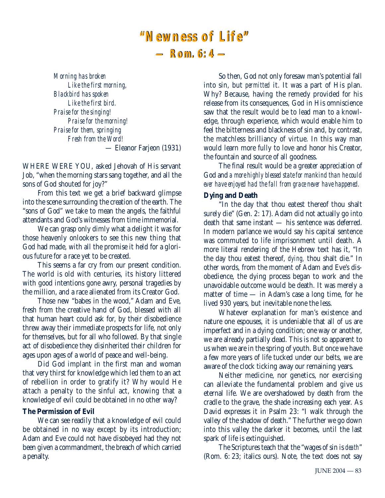# **"Newness of Life" "Newness of Life" — Rom. 6: 4 — — Rom. 6: 4 —**

*Morning has broken Like the first morning, Blackbird has spoken Like the first bird. Praise for the singing! Praise for the morning! Praise for them, springing Fresh from the Word!*

— Eleanor Farjeon (1931)

WHERE WERE YOU, asked Jehovah of His servant Job, "when the morning stars sang together, and all the sons of God shouted for joy?"

From this text we get a brief backward glimpse into the scene surrounding the creation of the earth. The "sons of God" we take to mean the angels, the faithful attendants and God's witnesses from time immemorial.

We can grasp only dimly what a delight it was for those heavenly onlookers to see this new thing that God had made, with all the promise it held for a glorious future for a race yet to be created.

This seems a far cry from our present condition. The world is old with centuries, its history littered with good intentions gone awry, personal tragedies by the million, and a race alienated from its Creator God.

Those new "babes in the wood," Adam and Eve, fresh from the creative hand of God, blessed with all that human heart could ask for, by their disobedience threw away their immediate prospects for life, not only for themselves, but for all who followed. By that single act of disobedience they disinherited their children for ages upon ages of a world of peace and well-being.

Did God implant in the first man and woman that very thirst for knowledge which led them to an act of rebellion in order to gratify it? Why would He attach a penalty to the sinful act, knowing that a knowledge of evil could be obtained in no other way?

# **The Permission of Evil**

We can see readily that a knowledge of evil could be obtained in no way except by its introduction; Adam and Eve could not have disobeyed had they not been given a commandment, the breach of which carried a penalty.

So then, God not only foresaw man's potential fall into sin, but *permitted* it. It was a part of His plan. Why? Because, having the remedy provided for his release from its consequences, God in His omniscience saw that the result would be to lead man to a knowledge, through experience, which would enable him to feel the bitterness and blackness of sin and, by contrast, the matchless brilliancy of virtue. In this way man would learn more fully to love and honor his Creator, the fountain and source of all goodness.

The final result would be a greater appreciation of God and *a more highly blessed state for mankind than he could ever have enjoyed had the fall from grace never have happened.*

# **Dying and Death**

"In the day that thou eatest thereof thou shalt surely die" (Gen. 2: 17). Adam did not actually go into death that same instant — his sentence was deferred. In modern parlance we would say his capital sentence was commuted to life imprisonment until death. A more literal rendering of the Hebrew text has it, "In the day thou eatest thereof, *dying,* thou shalt die." In other words, from the moment of Adam and Eve's disobedience, the dying process began to work and the unavoidable outcome would be death. It was merely a matter of time — in Adam's case a long time, for he lived 930 years, but inevitable none the less.

Whatever explanation for man's existence and nature one espouses, it is undeniable that all of us are imperfect and in a dying condition; one way or another, we are already partially dead. This is not so apparent to us when we are in the spring of youth. But once we have a few more years of life tucked under our belts, we are aware of the clock ticking away our remaining years.

Neither medicine, nor genetics, nor exercising can alleviate the fundamental problem and give us eternal life. We are overshadowed by death from the cradle to the grave, the shade increasing each year. As David expresses it in Psalm 23: "I walk through the valley of the shadow of death." The further we go down into this valley the darker it becomes, until the last spark of life is extinguished.

The Scriptures teach that the "wages of sin is *death*" (Rom. 6: 23; italics ours). Note, the text does not say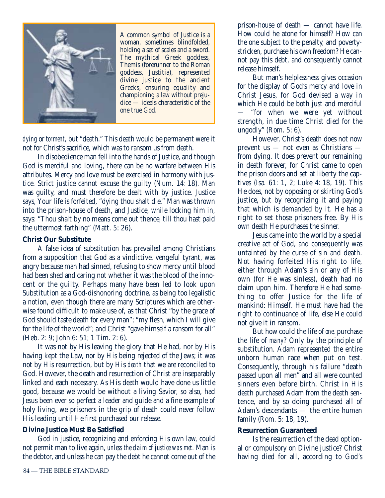

A common symbol of Justice is a woman, sometimes blindfolded, holding a set of scales and a sword. The mythical Greek goddess, Themis (forerunner to the Roman goddess, Justitia), represented divine justice to the ancient Greeks, ensuring equality and championing a law without prejudice — ideals characteristic of the one true God.

*dying* or *torment,* but "death." This death would be permanent were it not for Christ's sacrifice, which was to ransom us from death.

In disobedience man fell into the hands of Justice, and though God is merciful and loving, there can be no warfare between His attributes. Mercy and love must be exercised in harmony with justice. Strict justice cannot excuse the guilty (Num. 14: 18). Man was guilty, and must therefore be dealt with by justice. Justice says, Your life is forfeited, "dying thou shalt die." Man was thrown into the prison-house of death, and Justice, while locking him in, says: "Thou shalt by no means come out thence, till thou hast paid the uttermost farthing" (Matt. 5: 26).

#### **Christ Our Substitute**

A false idea of substitution has prevailed among Christians from a supposition that God as a vindictive, vengeful tyrant, was angry because man had sinned, refusing to show mercy until blood had been shed and caring not whether it was the blood of the innocent or the guilty. Perhaps many have been led to look upon Substitution as a God-dishonoring doctrine, as being too legalistic a notion, even though there are many Scriptures which are otherwise found difficult to make use of, as that Christ "by the grace of God should taste death for every man"; "my flesh, which I will give for the life of the world"; and Christ "gave himself a ransom for all" (Heb. 2: 9; John 6: 51; 1 Tim. 2: 6).

It was not by His leaving the glory that He had, nor by His having kept the Law, nor by His being rejected of the Jews; it was not by His resurrection, but by His *death* that we are reconciled to God. However, the death and resurrection of Christ are inseparably linked and each necessary. As His death would have done us little good, because we would be without a living Savior, so also, had Jesus been ever so perfect a leader and guide and a fine example of holy living, we prisoners in the grip of death could never follow His leading until He first purchased our release.

#### **Divine Justice Must Be Satisfied**

God in justice, recognizing and enforcing His own law, could not permit man to live again, *unless the claim of justice was met.* Man is the debtor, and unless he can pay the debt he cannot come out of the

But man's helplessness gives occasion for the display of God's mercy and love in Christ Jesus, for God devised a way in which He could be both just and merciful — "for when we were yet without strength, in due time Christ died for the ungodly" (Rom. 5: 6).

However, Christ's death does not now prevent us — not even as Christians from dying. It does prevent our remaining in death forever, for Christ came to open the prison doors and set at liberty the captives (Isa. 61: 1, 2; Luke 4: 18, 19). This He does, not by opposing or skirting God's justice, but by recognizing it and paying that which is demanded by it. He has a right to set those prisoners free. By His own death He purchases the sinner.

Jesus came into the world by a special creative act of God, and consequently was untainted by the curse of sin and death. Not having forfeited His right to life, either through Adam's sin or any of His own (for He was sinless), death had no claim upon him. Therefore He had something to offer Justice for the life of mankind: Himself. He must have had the right to continuance of life, else He could not give it in ransom.

But how could the life of *one,* purchase the life of *many*? Only by the principle of substitution. Adam represented the entire unborn human race when put on test. Consequently, through his failure "death passed upon all men" and all were counted sinners even before birth. Christ in His death purchased Adam from the death sentence, and by so doing purchased all of Adam's descendants — the entire human family (Rom. 5: 18, 19).

#### **Resurrection Guaranteed**

Is the resurrection of the dead optional or compulsory on Divine justice? Christ having died for all, according to God's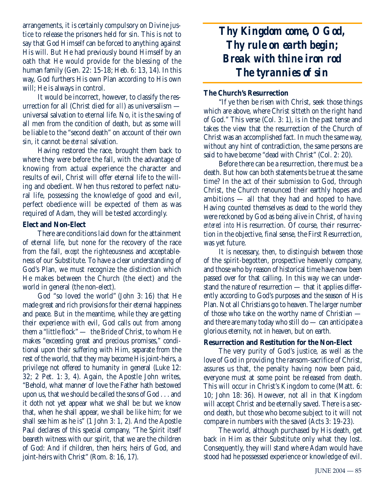arrangements, it is certainly compulsory on Divine justice to release the prisoners held for sin. This is not to say that God Himself can be forced to anything against His will. But He had previously bound Himself by an oath that He would provide for the blessing of the human family (Gen. 22: 15-18; Heb. 6: 13, 14). In this way, God furthers His own Plan according to His own will; He is always in control.

It would be incorrect, however, to classify the resurrection for all (Christ died for *all*) as universalism universal salvation to eternal life. No, it is the saving of all men from the condition of death, but as some will be liable to the "second death" on account of their own sin, it cannot be *eternal* salvation.

Having restored the race, brought them back to where they were before the fall, with the advantage of knowing from actual experience the character and results of evil, Christ will offer eternal life to the willing and obedient. When thus restored to perfect natural life, possessing the knowledge of good and evil, perfect obedience will be expected of them as was required of Adam, they will be tested accordingly.

#### **Elect and Non-Elect**

There are conditions laid down for the attainment of eternal life, but none for the recovery of the race from the fall, *except* the righteousness and acceptableness of our Substitute. To have a clear understanding of God's Plan, we must recognize the distinction which He makes between the Church (the elect) and the world in general (the non-elect).

God "so loved the world" (John 3: 16) that He made great and rich provisions for their eternal happiness and peace. But in the meantime, while they are getting their experience with evil, God calls out from among them a "little flock" — the Bride of Christ, to whom He makes "exceeding great and precious promises," conditional upon their suffering with Him, separate from the rest of the world, that they may become His joint-heirs, a privilege not offered to humanity in general (Luke 12: 32; 2 Pet. 1: 3, 4). Again, the Apostle John writes, "Behold, what manner of love the Father hath bestowed upon us, that we should be called the sons of God . . . and it doth not yet appear what we shall be: but we know that, when he shall appear, we shall be like him; for we shall see him as he is" (1 John 3: 1, 2). And the Apostle Paul declares of this special company, "The Spirit itself beareth witness with our spirit, that we are the children of God: And if children, then heirs; heirs of God, and joint-heirs with Christ" (Rom. 8: 16, 17).

# *Thy Kingdom come, O God, Thy rule on earth begin; Break with thine iron rod The tyrannies of sin*

#### **The Church's Resurrection**

"If ye then be risen with Christ, seek those things which are above, where Christ sitteth on the right hand of God." This verse (Col. 3: 1), is in the past tense and takes the view that the resurrection of the Church of Christ was an accomplished fact. In much the same way, without any hint of contradiction, the same persons are said to have become "dead with Christ" (Col. 2: 20).

Before there can be a resurrection, there must be a death. But how can both statements be true at the same time? In the act of their submission to God, through Christ, the Church renounced their earthly hopes and ambitions — all that they had and hoped to have. Having counted themselves as dead to the world they were reckoned by God as being alive in Christ, of *having entered into* His resurrection. Of course, their resurrection in the objective, final sense, the First Resurrection, was yet future.

It is necessary, then, to distinguish between those of the spirit-begotten, prospective heavenly company, and those who by reason of historical time have now been passed over for that calling. In this way we can understand the nature of resurrection — that it applies differently according to God's purposes and the season of His Plan. Not all Christians go to heaven. The larger number of those who take on the worthy name of Christian and there are many today who still do — can anticipate a glorious eternity, not in heaven, but on earth.

# **Resurrection and Restitution for the Non-Elect**

The very purity of God's justice, as well as the love of God in providing the ransom-sacrifice of Christ, assures us that, the penalty having now been paid, everyone must at some point be released from death. This will occur in Christ's Kingdom to come (Matt. 6: 10; John 18: 36). However, not all in that Kingdom will accept Christ and be eternally saved. There is a second death, but those who become subject to it will not compare in numbers with the saved (Acts 3: 19-23).

The world, although purchased by His death, get back in Him as their Substitute only what they lost. Consequently, they will stand where Adam would have stood had he possessed experience or knowledge of evil.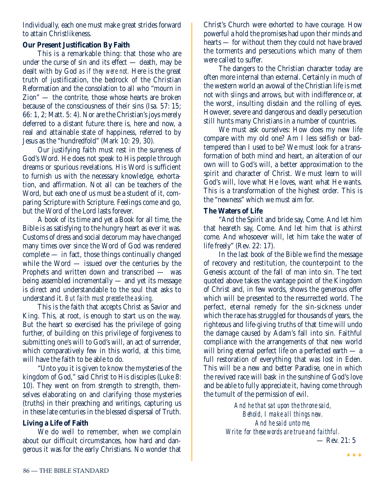Individually, each one must make great strides forward to attain Christlikeness.

# **Our Present Justification By Faith**

This is a remarkable thing: that those who are under the curse of sin and its effect — death, may be dealt with by God *as if they were not.* Here is the great truth of justification, the bedrock of the Christian Reformation and the consolation to all who "mourn in Zion" — the contrite, those whose hearts are broken because of the consciousness of their sins (Isa. 57: 15; 66: 1, 2; Matt. 5: 4). Nor are the Christian's joys merely deferred to a distant future: there is, here and now, a real and attainable state of happiness, referred to by Jesus as the "hundredfold" (Mark 10: 29, 30).

Our justifying faith must rest in the sureness of God's Word. He does not speak to His people through dreams or spurious revelations. His Word is sufficient to furnish us with the necessary knowledge, exhortation, and affirmation. Not all can be teachers of the Word, but each one of us must be a student of it, comparing Scripture with Scripture. Feelings come and go, but the Word of the Lord lasts forever.

A book of its time and yet a Book for all time, the Bible is as satisfying to the hungry heart as ever it was. Customs of dress and social decorum may have changed many times over since the Word of God was rendered complete — in fact, those things continually changed while the Word — issued over the centuries by the Prophets and written down and transcribed — was being assembled incrementally — and yet its message is direct and understandable to the soul that asks to understand it. *But faith must precede the asking.*

This is the faith that accepts Christ as Savior and King. This, at root, is enough to start us on the way. But the heart so exercised has the privilege of going further, of building on this privilege of forgiveness to submitting one's will to God's will, an act of surrender, which comparatively few in this world, at this time, will have the faith to be able to do.

"Unto you it is given to know the mysteries of the kingdom of God," said Christ to His disciples (Luke 8: 10). They went on from strength to strength, themselves elaborating on and clarifying those mysteries (truths) in their preaching and writings, capturing us in these late centuries in the blessed dispersal of Truth.

# **Living a Life of Faith**

We do well to remember, when we complain about our difficult circumstances, how hard and dangerous it was for the early Christians. No wonder that Christ's Church were exhorted to have courage. How powerful a hold the promises had upon their minds and hearts — for without them they could not have braved the torments and persecutions which many of them were called to suffer.

The dangers to the Christian character today are often more internal than external. Certainly in much of the western world an avowal of the Christian life is met not with slings and arrows, but with indifference or, at the worst, insulting disdain and the rolling of eyes. However, severe and dangerous and deadly persecution still hunts many Christians in a number of countries.

We must ask ourselves: How does my new life compare with my old one? Am I less selfish or badtempered than I used to be? We must look for a transformation of both mind and heart, an alteration of our own will to God's will, a better approximation to the spirit and character of Christ. We must learn to will God's will, love what He loves, want what He wants. This is a transformation of the highest order. This is the "newness" which we must aim for.

## **The Waters of Life**

"And the Spirit and bride say, Come. And let him that heareth say, Come. And let him that is athirst come. And whosoever will, let him take the water of life freely" (Rev. 22: 17).

In the last book of the Bible we find the message of recovery and restitution, the counterpoint to the Genesis account of the fall of man into sin. The text quoted above takes the vantage point of the Kingdom of Christ and, in few words, shows the generous offer which will be presented to the resurrected world. The perfect, eternal remedy for the sin-sickness under which the race has struggled for thousands of years, the righteous and life-giving truths of that time will undo the damage caused by Adam's fall into sin. Faithful compliance with the arrangements of that new world will bring eternal perfect life on a perfected earth — a full restoration of everything that was lost in Eden. This will be a new and better Paradise, one in which the revived race will bask in the sunshine of God's love and be able to fully appreciate it, having come through the tumult of the permission of evil.

> *And he that sat upon the throne said, Behold, I make all things new. And he said unto me, Write: for these words are true and faithful.*

**\*\*\***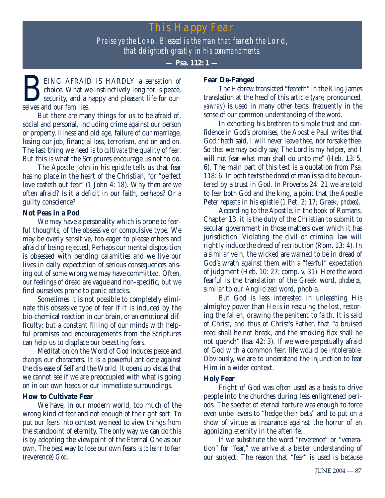# This Happy Fear

*Praise ye the* LORD*. Blessed is the man that feareth the* Lord*, that delighteth greatly in his commandments.*

**— Psa. 112: 1 —**

EING AFRAID IS HARDLY a sensation of choice. What we instinctively long for is peace, security, and a happy and pleasant life for our-<br>selves and our families. choice. What we instinctively long for is peace, security, and a happy and pleasant life for ourselves and our families.

But there are many things for us to be afraid of, social and personal, including crime against our person or property, illness and old age, failure of our marriage, losing our job, financial loss, terrorism, and on and on. The last thing we need is to *cultivate* the quality of fear. But this is what the Scriptures encourage us not to do.

The Apostle John in his epistle tells us that fear has no place in the heart of the Christian, for "perfect love casteth out fear" (1 John 4: 18). Why then are we often afraid? Is it a deficit in our faith, perhaps? Or a guilty conscience?

#### **Not Peas in a Pod**

We may have a personality which is prone to fearful thoughts, of the obsessive or compulsive type. We may be overly sensitive, too eager to please others and afraid of being rejected. Perhaps our mental disposition is obsessed with pending calamities and we live our lives in daily expectation of serious consequences arising out of some wrong we may have committed. Often, our feelings of dread are vague and non-specific, but we find ourselves prone to panic attacks.

Sometimes it is not possible to completely eliminate this obsessive type of fear if it is induced by the bio-chemical reaction in our brain, or an emotional difficulty; but a constant filling of our minds with helpful promises and encouragements from the Scriptures can help us to displace our besetting fears.

Meditation on the Word of God induces peace and *changes* our characters. It is a powerful antidote against the dis-ease of Self and the World. It opens up vistas that we cannot see if we are preoccupied with what is going on in our own heads or our immediate surroundings.

#### **How to Cultivate Fear**

We have, in our modern world, too much of the wrong kind of fear and not enough of the right sort. To put our fears into context we need to view things from the standpoint of eternity. The only way we can do this is by adopting the viewpoint of the Eternal One as our own. The best way to lose our own fears is *to learn to fear* (reverence) *God.*

#### **Fear De-Fanged**

The Hebrew translated "feareth" in the King James translation at the head of this article (*yare,* pronounced, *yawray*) is used in many other texts, frequently in the sense of our common understanding of the word.

In exhorting his brethren to simple trust and confidence in God's promises, the Apostle Paul writes that God "hath said, I will never leave thee, nor forsake thee. So that we may boldly say, The Lord is my helper, and I will not fear what man shall do unto me" (Heb. 13: 5, 6). The main part of this text is a quotation from Psa. 118: 6. In both texts the dread of man is said to be countered by a trust in God. In Proverbs 24: 21 we are told to fear both God and the king, a point that the Apostle Peter repeats in his epistle (1 Pet. 2: 17; Greek, *phobeo*).

According to the Apostle, in the book of Romans, Chapter 13, it is the duty of the Christian to submit to secular government in those matters over which it has jurisdiction. Violating the civil or criminal law will rightly induce the dread of retribution (Rom. 13: 4). In a similar vein, the wicked are warned to be in dread of God's wrath against them with a "fearful" expectation of judgment (Heb. 10: 27; comp. v. 31). Here the word fearful is the translation of the Greek word, *phoberos,* similar to our Anglicized word, phobia.

But God is less interested in unleashing His almighty power than He is in rescuing the lost, restoring the fallen, drawing the penitent to faith. It is said of Christ, and thus of Christ's Father, that "a bruised reed shall he not break, and the smoking flax shall he not quench" (Isa. 42: 3). If we were perpetually afraid of God with a common fear, life would be intolerable. Obviously, we are to understand the injunction to fear Him in a wider context.

#### **Holy Fear**

Fright of God was often used as a basis to drive people into the churches during less enlightened periods. The specter of eternal torture was enough to force even unbelievers to "hedge their bets" and to put on a show of virtue as insurance against the horror of an agonizing eternity in the afterlife.

If we substitute the word "reverence" or "veneration" for "fear," we arrive at a better understanding of our subject. The reason that "fear" is used is because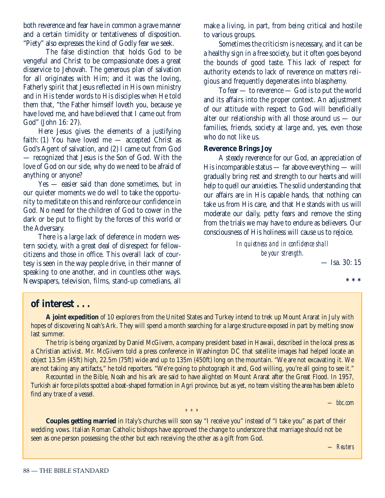both reverence and fear have in common a grave manner and a certain timidity or tentativeness of disposition. "Piety" also expresses the kind of Godly fear we seek.

The false distinction that holds God to be vengeful and Christ to be compassionate does a great disservice to Jehovah. The generous plan of salvation for all originates with Him; and it was the loving, Fatherly spirit that Jesus reflected in His own ministry and in His tender words to His disciples when He told them that, "the Father himself loveth you, because ye have loved me, and have believed that I came out from God" (John 16: 27).

Here Jesus gives the elements of a justifying faith: (1) You have loved me — accepted Christ as God's Agent of salvation, and (2) I came out from God — recognized that Jesus is the Son of God. With the love of God on our side, why do we need to be afraid of anything or anyone?

Yes — easier said than done sometimes, but in our quieter moments we do well to take the opportunity to meditate on this and reinforce our confidence in God. No need for the children of God to cower in the dark or be put to flight by the forces of this world or the Adversary.

There is a large lack of deference in modern western society, with a great deal of disrespect for fellowcitizens and those in office. This overall lack of courtesy is seen in the way people drive, in their manner of speaking to one another, and in countless other ways. Newspapers, television, films, stand-up comedians, all make a living, in part, from being critical and hostile to various groups.

Sometimes the criticism is necessary, and it can be a healthy sign in a free society, but it often goes beyond the bounds of good taste. This lack of respect for authority extends to lack of reverence on matters religious and frequently degenerates into blasphemy.

To fear — to reverence — God is to put the world and its affairs into the proper context. An adjustment of our attitude with respect to God will beneficially alter our relationship with all those around us — our families, friends, society at large and, yes, even those who do not like us.

## **Reverence Brings Joy**

A steady reverence for our God, an appreciation of His incomparable status — far above everything — will gradually bring rest and strength to our hearts and will help to quell our anxieties. The solid understanding that our affairs are in His capable hands, that nothing can take us from His care, and that He stands with us will moderate our daily, petty fears and remove the sting from the trials we may have to endure as believers. Our consciousness of His holiness will cause us to rejoice.

> *In quietness and in confidence shall be your strength.*

> > — Isa. 30: 15

**\*\*\***

# **of interest . . .**

**A joint expedition** of 10 explorers from the United States and Turkey intend to trek up Mount Ararat in July with hopes of discovering Noah's Ark. They will spend a month searching for a large structure exposed in part by melting snow last summer.

The trip is being organized by Daniel McGivern, a company president based in Hawaii, described in the local press as a Christian activist. Mr. McGivern told a press conference in Washington DC that satellite images had helped locate an object 13.5m (45ft) high, 22.5m (75ft) wide and up to 135m (450ft) long on the mountain. "We are not excavating it. We are not taking any artifacts," he told reporters. "We're going to photograph it and, God willing, you're all going to see it."

Recounted in the Bible, Noah and his ark are said to have alighted on Mount Ararat after the Great Flood. In 1957, Turkish air force pilots spotted a boat-shaped formation in Agri province, but as yet, no team visiting the area has been able to find any trace of a vessel.

*\* \* \**

*— bbc.com*

**Couples getting married** in Italy's churches will soon say "I receive you" instead of "I take you" as part of their wedding vows. Italian Roman Catholic bishops have approved the change to underscore that marriage should not be seen as one person possessing the other but each receiving the other as a gift from God.

*— Reuters*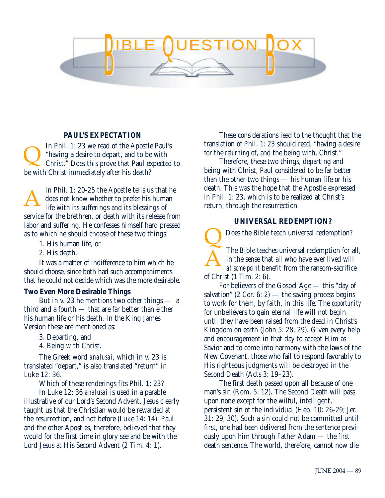

## **PAUL'S EXPECTATION**

In Phil. 1: 23 we read of the Apostle Paul's "having a desire to depart, and to be with Christ." Does this prove that Paul expected to be with Christ immediately after his death? Q

In Phil. 1: 20-25 the Apostle tells us that he does not know whether to prefer his human life with its sufferings and its blessings of service for the brethren, or death with its release from labor and suffering. He confesses himself hard pressed as to which he should choose of these two things: A

- 1. His human life, or
- 2. His death.

It was a matter of indifference to him which he should choose, since both had such accompaniments that he could not decide which was the more desirable.

#### **Two Even More Desirable Things**

But in v. 23 he mentions two other things — a third and a fourth — that are far better than either his human life or his death. In the King James Version these are mentioned as:

- 3. Departing, and
- 4. Being with Christ.

The Greek word *analusai,* which in v. 23 is translated "depart," is also translated "return" in Luke 12: 36.

Which of these renderings fits Phil. 1: 23?

In Luke 12: 36 *analusai* is used in a parable illustrative of our Lord's Second Advent. Jesus clearly taught us that the Christian would be rewarded at the resurrection, and not before (Luke 14: 14). Paul and the other Apostles, therefore, believed that they would for the first time in glory see and be with the Lord Jesus at His Second Advent (2 Tim. 4: 1).

These considerations lead to the thought that the translation of Phil. 1: 23 should read, "having a desire for the *returning* of, and the being with, Christ."

Therefore, these two things, departing and being with Christ, Paul considered to be far better than the other two things — his human life or his death. This was the hope that the Apostle expressed in Phil. 1: 23, which is to be realized at Christ's return, through the resurrection.

#### **UNIVERSAL REDEMPTION?**

Does the Bible teach universal redemption?

The Bible teaches universal redemption for all, in the sense that all who have ever lived will *at some point* benefit from the ransom-sacrifice of Christ (1 Tim. 2: 6). Q A

For believers of the Gospel Age — this "day of salvation"  $(2 \text{ Cor. } 6: 2)$  — the saving process begins to work for them, by faith, in this life. The *opportunity* for unbelievers to gain eternal life will not begin until they have been raised from the dead in Christ's Kingdom on earth (John 5: 28, 29). Given every help and encouragement in that day to accept Him as Savior and to come into harmony with the laws of the New Covenant, those who fail to respond favorably to His righteous judgments will be destroyed in the Second Death (Acts 3: 19–23).

The first death passed upon all because of one man's sin (Rom. 5: 12). The Second Death will pass upon none except for the wilful, intelligent, persistent sin of the individual (Heb. 10: 26-29; Jer. 31: 29, 30). Such a sin could not be committed until first, one had been delivered from the sentence previously upon him through Father Adam — the *first* death sentence. The world, therefore, cannot now die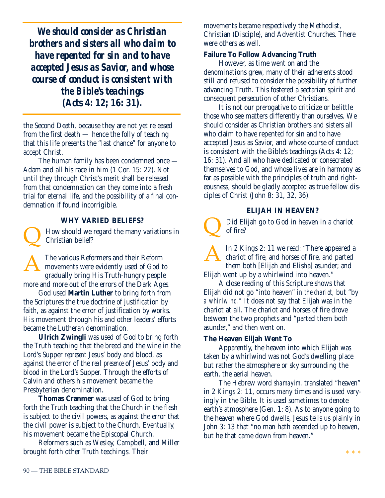*We should consider as Christian brothers and sisters all who claim to have repented for sin and to have accepted Jesus as Savior, and whose course of conduct is consistent with the Bible's teachings (Acts 4: 12; 16: 31).*

the Second Death, because they are not yet released from the first death — hence the folly of teaching that this life presents the "last chance" for anyone to accept Christ.

The human family has been condemned once — Adam and all his race in him (1 Cor. 15: 22). Not until they through Christ's merit shall be released from that condemnation can they come into a fresh trial for eternal life, and the possibility of a final condemnation if found incorrigible.

#### **WHY VARIED BELIEFS?**

How should we regard the many variations in Christian belief? WHY VARIED BELIEFS?<br>
Christian belief?

The various Reformers and their Reform movements were evidently used of God to gradually bring His Truth-hungry people more and more out of the errors of the Dark Ages. The various Reformers and their Reform<br>
movements were evidently used of God to<br>
gradually bring His Truth-hungry people

God used **Martin Luther** to bring forth from the Scriptures the true doctrine of justification by faith, as against the error of justification by works. His movement through his and other leaders' efforts became the Lutheran denomination.

**Ulrich Zwingli** was used of God to bring forth the Truth teaching that the bread and the wine in the Lord's Supper *represent* Jesus' body and blood, as against the error of the *real presence* of Jesus' body and blood in the Lord's Supper. Through the efforts of Calvin and others his movement became the Presbyterian denomination.

**Thomas Cranmer** was used of God to bring forth the Truth teaching that the Church in the flesh is subject to the civil powers, as against the error that the civil power is subject to the Church. Eventually, his movement became the Episcopal Church.

Reformers such as Wesley, Campbell, and Miller brought forth other Truth teachings. Their

movements became respectively the Methodist, Christian (Disciple), and Adventist Churches. There were others as well.

#### **Failure To Follow Advancing Truth**

However, as time went on and the denominations grew, many of their adherents stood still and refused to consider the possibility of further advancing Truth. This fostered a sectarian spirit and consequent persecution of other Christians.

It is not our prerogative to criticize or belittle those who see matters differently than ourselves. We should consider as Christian brothers and sisters all who claim to have repented for sin and to have accepted Jesus as Savior, and whose course of conduct is consistent with the Bible's teachings (Acts 4: 12; 16: 31). And all who have dedicated or consecrated themselves to God, and whose lives are in harmony as far as possible with the principles of truth and righteousness, should be gladly accepted as true fellow disciples of Christ (John 8: 31, 32, 36).

#### **ELIJAH IN HEAVEN?**

of fire?

Did Elijah go to God in heaven in a chariot

In 2 Kings 2: 11 we read: "There appeared a chariot of fire, and horses of fire, and parted them both [Elijah and Elisha] asunder; and Elijah went up by a whirlwind into heaven."

A close reading of this Scripture shows that Elijah did not go "into heaven" *in the chariot,* but "by *a whirlwind."* It does not say that Elijah was in the chariot at all. The chariot and horses of fire drove between the two prophets and "parted them both asunder," and then went on.

## **The Heaven Elijah Went To**

Apparently, the heaven into which Elijah was taken by a whirlwind was not God's dwelling place but rather the atmosphere or sky surrounding the earth, the aerial heaven.

The Hebrew word *shamayim,* translated "heaven" in 2 Kings 2: 11, occurs many times and is used varyingly in the Bible. It is used sometimes to denote earth's atmosphere (Gen. 1: 8). As to anyone going to the heaven where God dwells, Jesus tells us plainly in John 3: 13 that "no man hath ascended up to heaven, but he that came down from heaven."

\* \* \*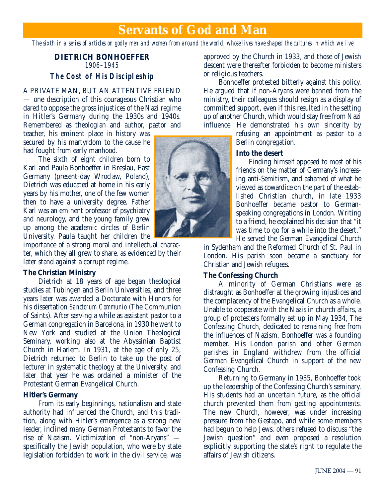# **Servants of God and Man**

*The sixth in a series of articles on godly men and women from around the world, whose lives have shaped the cultures in which we live*

# **DIETRICH BONHOEFFER** 1906–1945

# **The Cost of His Discipleship**

A PRIVATE MAN, BUT AN ATTENTIVE FRIEND — one description of this courageous Christian who dared to oppose the gross injustices of the Nazi regime in Hitler's Germany during the 1930s and 1940s. Remembered as theologian and author, pastor and

teacher, his eminent place in history was secured by his martyrdom to the cause he had fought from early manhood.

The sixth of eight children born to Karl and Paula Bonhoeffer in Breslau, East Germany (present-day Wroclaw, Poland), Dietrich was educated at home in his early years by his mother, one of the few women then to have a university degree. Father Karl was an eminent professor of psychiatry and neurology, and the young family grew up among the academic circles of Berlin University. Paula taught her children the

importance of a strong moral and intellectual character, which they all grew to share, as evidenced by their later stand against a corrupt regime.

#### **The Christian Ministry**

Dietrich at 18 years of age began theological studies at Tubingen and Berlin Universities, and three years later was awarded a Doctorate with Honors for his dissertation *Sanctorum Communio* (The Communion of Saints). After serving a while as assistant pastor to a German congregation in Barcelona, in 1930 he went to New York and studied at the Union Theological Seminary, working also at the Abyssinian Baptist Church in Harlem. In 1931, at the age of only 25, Dietrich returned to Berlin to take up the post of lecturer in systematic theology at the University, and later that year he was ordained a minister of the Protestant German Evangelical Church.

#### **Hitler's Germany**

From its early beginnings, nationalism and state authority had influenced the Church, and this tradition, along with Hitler's emergence as a strong new leader, inclined many German Protestants to favor the rise of Nazism. Victimization of "non-Aryans" specifically the Jewish population, who were by state legislation forbidden to work in the civil service, was



approved by the Church in 1933, and those of Jewish descent were thereafter forbidden to become ministers or religious teachers.

Bonhoeffer protested bitterly against this policy. He argued that if non-Aryans were banned from the ministry, their colleagues should resign as a display of committed support, even if this resulted in the setting up of another Church, which would stay free from Nazi influence. He demonstrated his own sincerity by

refusing an appointment as pastor to a Berlin congregation.

## **Into the desert**

Finding himself opposed to most of his friends on the matter of Germany's increasing anti-Semitism, and ashamed of what he viewed as cowardice on the part of the established Christian church, in late 1933 Bonhoeffer became pastor to Germanspeaking congregations in London. Writing to a friend, he explained his decision that "it was time to go for a while into the desert." He served the German Evangelical Church

in Sydenham and the Reformed Church of St. Paul in London. His parish soon became a sanctuary for Christian and Jewish refugees.

# **The Confessing Church**

A minority of German Christians were as distraught as Bonhoeffer at the growing injustices and the complacency of the Evangelical Church as a whole. Unable to cooperate with the Nazis in church affairs, a group of protesters formally set up in May 1934, The Confessing Church, dedicated to remaining free from the influences of Nazism. Bonhoeffer was a founding member. His London parish and other German parishes in England withdrew from the official German Evangelical Church in support of the new Confessing Church.

Returning to Germany in 1935, Bonhoeffer took up the leadership of the Confessing Church's seminary. His students had an uncertain future, as the official church prevented them from getting appointments. The new Church, however, was under increasing pressure from the Gestapo, and while some members had begun to help Jews, others refused to discuss "the Jewish question" and even proposed a resolution explicitly supporting the state's right to regulate the affairs of Jewish citizens.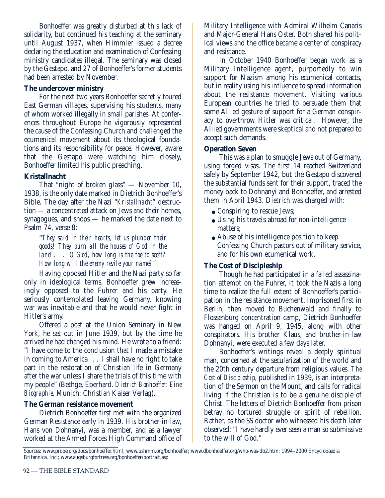Bonhoeffer was greatly disturbed at this lack of solidarity, but continued his teaching at the seminary until August 1937, when Himmler issued a decree declaring the education and examination of Confessing ministry candidates illegal. The seminary was closed by the Gestapo, and 27 of Bonhoeffer's former students had been arrested by November.

## **The undercover ministry**

For the next two years Bonhoeffer secretly toured East German villages, supervising his students, many of whom worked illegally in small parishes. At conferences throughout Europe he vigorously represented the cause of the Confessing Church and challenged the ecumenical movement about its theological foundations and its responsibility for peace. However, aware that the Gestapo were watching him closely, Bonhoeffer limited his public preaching.

## **Kristallnacht**

That "night of broken glass" — November 10, 1938, is the only date marked in Dietrich Bonhoeffer's Bible. The day after the Nazi "*Kristallnacht*" destruction — a concentrated attack on Jews and their homes, synagogues, and shops — he marked the date next to Psalm 74, verse 8:

"*They said in their hearts, let us plunder their goods! They burn all the houses of God in the land . . . O God, how long is the foe to scoff? How long will the enemy revile your name?*"

Having opposed Hitler and the Nazi party so far only in ideological terms, Bonhoeffer grew increasingly opposed to the Fuhrer and his party. He seriously contemplated leaving Germany, knowing war was inevitable and that he would never fight in Hitler's army.

Offered a post at the Union Seminary in New York, he set out in June 1939, but by the time he arrived he had changed his mind. He wrote to a friend: "I have come to the conclusion that I made a mistake in coming to America . . . I shall have no right to take part in the restoration of Christian life in Germany after the war unless I share the trials of this time with my people" (Bethge, Eberhard. *Dietrich Bonhoeffer: Eine Biographie*. Munich: Christian Kaiser Verlag).

# **The German resistance movement**

Dietrich Bonhoeffer first met with the organized German Resistance early in 1939. His brother-in-law, Hans von Dohnanyi, was a member, and as a lawyer worked at the Armed Forces High Command office of Military Intelligence with Admiral Wilhelm Canaris and Major-General Hans Oster. Both shared his political views and the office became a center of conspiracy and resistance.

In October 1940 Bonhoeffer began work as a Military Intelligence agent, purportedly to win support for Nazism among his ecumenical contacts, but in reality using his influence to spread information about the resistance movement. Visiting various European countries he tried to persuade them that some Allied gesture of support for a German conspiracy to overthrow Hitler was critical. However, the Allied governments were skeptical and not prepared to accept such demands.

## **Operation Seven**

This was a plan to smuggle Jews out of Germany, using forged visas. The first 14 reached Switzerland safely by September 1942, but the Gestapo discovered the substantial funds sent for their support, traced the money back to Dohnanyi and Bonhoeffer, and arrested them in April 1943. Dietrich was charged with:

- Conspiring to rescue Jews;
- Using his travels abroad for non-intelligence matters;
- Abuse of his intelligence position to keep Confessing Church pastors out of military service, and for his own ecumenical work.

# **The Cost of Discipleship**

Though he had participated in a failed assassination attempt on the Fuhrer, it took the Nazis a long time to realize the full extent of Bonhoeffer's participation in the resistance movement. Imprisoned first in Berlin, then moved to Buchenwald and finally to Flossenburg concentration camp, Dietrich Bonhoeffer was hanged on April 9, 1945, along with other conspirators. His brother Klaus, and brother-in-law Dohnanyi, were executed a few days later.

Bonhoeffer's writings reveal a deeply spiritual man, concerned at the secularization of the world and the 20th century departure from religious values. *The Cost of Discipleship,* published in 1939, is an interpretation of the Sermon on the Mount, and calls for radical living if the Christian is to be a genuine disciple of Christ. The letters of Dietrich Bonhoeffer from prison betray no tortured struggle or spirit of rebellion. Rather, as the SS doctor who witnessed his death later observed: "I have hardly ever seen a man so submissive to the will of God."

Sources: www.probe.org/docs/bonhoeffer.html; www.ushmm.org/bonhoeffer; www.dbonhoeffer.org/who-was-db2.htm; 1994–2000 Encyclopaedia Britannica, Inc.; www.augsburgfortress.org/bonhoeffer/portrait.asp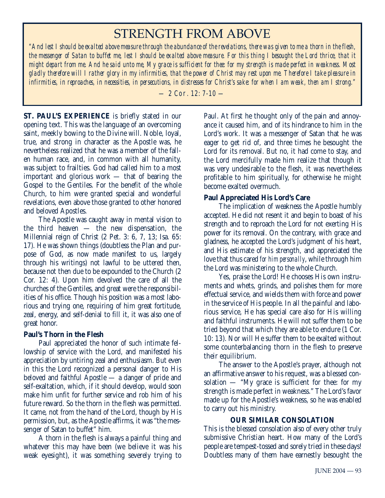# STRENGTH FROM ABOVE

*"And lest I should be exalted above measure through the abundance of the revelations, there was given to me a thorn in the flesh, the messenger of Satan to buffet me, lest I should be exalted above measure. For this thing I besought the Lord thrice, that it might depart from me. And he said unto me, My grace is sufficient for thee: for my strength is made perfect in weakness. Most gladly therefore will I rather glory in my infirmities, that the power of Christ may rest upon me. Therefore I take pleasure in infirmities, in reproaches, in necessities, in persecutions, in distresses for Christ's sake: for when I am weak, then am I strong."* 

*—* 2 Cor. 12: 7-10 *—*

**ST. PAUL'S EXPERIENCE** is briefly stated in our opening text. This was the language of an overcoming saint, meekly bowing to the Divine will. Noble, loyal, true, and strong in character as the Apostle was, he nevertheless realized that he was a member of the fallen human race, and, in common with all humanity, was subject to frailties. God had called him to a most important and glorious work — that of bearing the Gospel to the Gentiles. For the benefit of the whole Church, to him were granted special and wonderful revelations, even above those granted to other honored and beloved Apostles.

The Apostle was caught away in mental vision to the third heaven — the new dispensation, the Millennial reign of Christ (2 Pet. 3: 6, 7, 13; Isa. 65: 17). He was shown things (doubtless the Plan and purpose of God, as now made manifest to us, largely through his writings) not lawful to be uttered then, because not then due to be expounded to the Church (2 Cor. 12: 4). Upon him devolved the care of all the churches of the Gentiles, and great were the responsibilities of his office. Though his position was a most laborious and trying one, requiring of him great fortitude, zeal, energy, and self-denial to fill it, it was also one of great honor.

# **Paul's Thorn in the Flesh**

Paul appreciated the honor of such intimate fellowship of service with the Lord, and manifested his appreciation by untiring zeal and enthusiasm. But even in this the Lord recognized a personal danger to His beloved and faithful Apostle — a danger of pride and self-exaltation, which, if it should develop, would soon make him unfit for further service and rob him of his future reward. So the thorn in the flesh was permitted. It came, not from the hand of the Lord, though by His permission, but, as the Apostle affirms, it was "the messenger of Satan to buffet" him.

A thorn in the flesh is always a painful thing and whatever this may have been (we believe it was his weak eyesight), it was something severely trying to Paul. At first he thought only of the pain and annoyance it caused him, and of its hindrance to him in the Lord's work. It was a messenger of Satan that he was eager to get rid of, and three times he besought the Lord for its removal. But no, it had come to stay, and the Lord mercifully made him realize that though it was very undesirable to the flesh, it was nevertheless profitable to him spiritually, for otherwise he might become exalted overmuch.

# **Paul Appreciated His Lord's Care**

The implication of weakness the Apostle humbly accepted. He did not resent it and begin to boast of his strength and to reproach the Lord for not exerting His power for its removal. On the contrary, with grace and gladness, he accepted the Lord's judgment of his heart, and His estimate of his strength, and appreciated the love that thus cared *for him personally*, while through him the Lord was ministering to the whole Church.

Yes, praise the Lord! He chooses His own instruments and whets, grinds, and polishes them for more effectual service, and wields them with force and power in the service of His people. In all the painful and laborious service, He has special care also for His willing and faithful instruments. He will not suffer them to be tried beyond that which they are able to endure (1 Cor. 10: 13). Nor will He suffer them to be exalted without some counterbalancing thorn in the flesh to preserve their equilibrium.

The answer to the Apostle's prayer, although not an affirmative answer to his request, was a blessed consolation  $-$  "My grace is sufficient for thee: for my strength is made perfect in weakness." The Lord's favor made up for the Apostle's weakness, so he was enabled to carry out his ministry.

# **OUR SIMILAR CONSOLATION**

This is the blessed consolation also of every other truly submissive Christian heart. How many of the Lord's people are tempest-tossed and sorely tried in these days! Doubtless many of them have earnestly besought the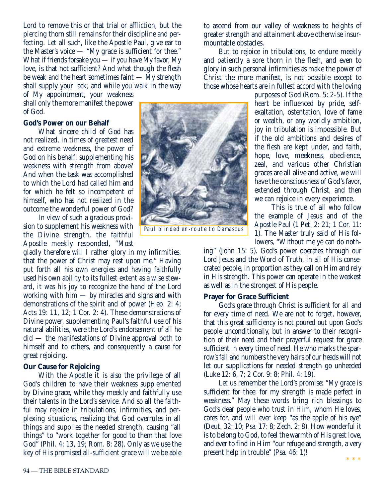Lord to remove this or that trial or affliction, but the piercing thorn still remains for their discipline and perfecting. Let all such, like the Apostle Paul, give ear to the Master's voice — "My grace is sufficient for thee." What if friends forsake you — if you have My favor, My love, is that not sufficient? And what though the flesh be weak and the heart sometimes faint — My strength shall supply your lack; and while you walk in the way

of My appointment, your weakness shall only the more manifest the power of God.

#### **God's Power on our Behalf**

What sincere child of God has not realized, in times of greatest need and extreme weakness, the power of God on his behalf, supplementing his weakness with strength from above? And when the task was accomplished to which the Lord had called him and for which he felt so incompetent of himself, who has not realized in the outcome the wonderful power of God?

In view of such a gracious provision to supplement his weakness with the Divine strength, the faithful Apostle meekly responded, "Most

gladly therefore will I rather glory in my infirmities, that the power of Christ may rest upon me." Having put forth all his own energies and having faithfully used his own ability to its fullest extent as a wise steward, it was his joy to recognize the hand of the Lord working with him — by miracles and signs and with demonstrations of the spirit and of power (Heb. 2: 4; Acts 19: 11, 12; 1 Cor. 2: 4). These demonstrations of Divine power, supplementing Paul's faithful use of his natural abilities, were the Lord's endorsement of all he did — the manifestations of Divine approval both to himself and to others, and consequently a cause for great rejoicing.

#### **Our Cause for Rejoicing**

With the Apostle it is also the privilege of all God's children to have their weakness supplemented by Divine grace, while they meekly and faithfully use their talents in the Lord's service. And so all the faithful may rejoice in tribulations, infirmities, and perplexing situations, realizing that God overrules in all things and supplies the needed strength, causing "all things" to "work together for good to them that love God" (Phil. 4: 13, 19; Rom. 8: 28). Only as we use the key of His promised all-sufficient grace will we be able

to ascend from our valley of weakness to heights of greater strength and attainment above otherwise insurmountable obstacles.

But to rejoice in tribulations, to endure meekly and patiently a sore thorn in the flesh, and even to glory in such personal infirmities as make the power of Christ the more manifest, is not possible except to those whose hearts are in fullest accord with the loving

> purposes of God (Rom. 5: 2-5). If the heart be influenced by pride, selfexaltation, ostentation, love of fame or wealth, or any worldly ambition, joy in tribulation is impossible. But if the old ambitions and desires of the flesh are kept under, and faith, hope, love, meekness, obedience, zeal, and various other Christian graces are all alive and active, we will have the consciousness of God's favor, extended through Christ, and then we can rejoice in every experience.

> This is true of all who follow the example of Jesus and of the Apostle Paul (1 Pet. 2: 21; 1 Cor. 11: 1). The Master truly said of His followers, "Without me ye can do noth-

ing" (John 15: 5). God's power operates through our Lord Jesus and the Word of Truth, in all of His consecrated people, in proportion as they call on Him and rely in His strength. This power can operate in the weakest as well as in the strongest of His people.

#### **Prayer for Grace Sufficient**

God's grace through Christ is sufficient for all and for every time of need. We are not to forget, however, that this great sufficiency is not poured out upon God's people unconditionally, but in answer to their recognition of their need and their prayerful request for grace sufficient in every time of need. He who marks the sparrow's fall and numbers the very hairs of our heads will not let our supplications for needed strength go unheeded (Luke 12: 6, 7; 2 Cor. 9: 8; Phil. 4: 19).

Let us remember the Lord's promise: "My grace is sufficient for thee: for my strength is made perfect in weakness." May these words bring rich blessings to God's dear people who trust in Him, whom He loves, cares for, and will ever keep "as the apple of his eye" (Deut. 32: 10; Psa. 17: 8; Zech. 2: 8). How wonderful it is to belong to God, to feel the warmth of His great love, and ever to find in Him "our refuge and strength, a very present help in trouble" (Psa. 46: 1)!



Paul blinded en-route to Damascus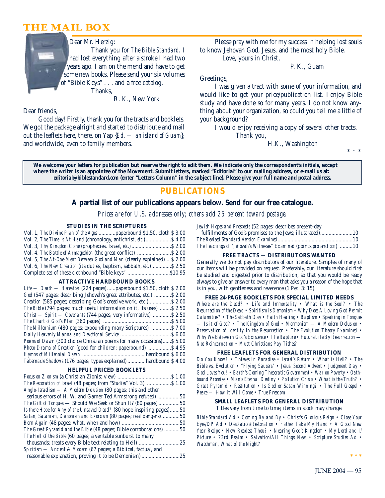# **THE MAIL BOX**



#### Dear Mr. Herzig:

Thank you for *The Bible Standard.* I had lost everything after a stroke I had two years ago. I am on the mend and have to get some new books. Please send your six volumes of "Bible Keys" . . . and a free catalog. Thanks,

R. K., New York

Dear friends,

Good day! Firstly, thank you for the tracts and booklets. We got the package alright and started to distribute and mail out the leaflets here, there, on Yap {*Ed. — an island of Guam*}*,* and worldwide, even to family members.

Please pray with me for my success in helping lost souls to know Jehovah God, Jesus, and the most holy Bible.

Love, yours in Christ,

P. K., Guam

Greetings,

I was given a tract with some of your information, and would like to get your price/publication list. I enjoy Bible study and have done so for many years. I do not know anything about your organization, so could you tell me a little of your background?

I would enjoy receiving a copy of several other tracts. Thank you,

H.K., Washington

\*\*\*

**We welcome your letters for publication but reserve the right to edit them. We indicate only the correspondent's initials, except where the writer is an appointee of the Movement. Submit letters, marked "Editorial" to our mailing address, or e-mail us at:** *editorial@biblestandard.com* **(enter "Letters Column" in the subject line).** *Please give your full name and postal address.*

# **PUBLICATIONS**

#### **A partial list of our publications appears below. Send for our free catalogue.**

*Prices are for U.S. addresses only; others add 25 percent toward postage.*

#### **STUDIES IN THE SCRIPTURES**

| Vol. 1, The Divine Plan of the Ages  paperbound \$1.50, cloth \$3.00                |  |
|-------------------------------------------------------------------------------------|--|
| Vol. 2, The Time Is At Hand (chronology, antichrist, etc.) \$4.00                   |  |
|                                                                                     |  |
| Vol. 4, The Battle of Armageddon (the great conflict)  \$ 2.00                      |  |
| Vol. 5, The At-One-Ment Between God and Man (clearly explained)  \$ 2.00            |  |
| Vol. 6, <i>The New Creation</i> (its duties, baptism, sabbath, <i>etc.</i> )\$ 2.50 |  |
| Complete set of these clothbound "Bible keys" \$10.95                               |  |

#### **ATTRACTIVE HARDBOUND BOOKS**

#### **HELPFUL PRICED BOOKLETS**

| <i>The Restoration of Israel</i> (48 pages; from " <i>Studies</i> " Vol. 3)  \$ 1.00 |     |
|--------------------------------------------------------------------------------------|-----|
| Anglo-Israelism — A Modern Delusion (80 pages; this and other                        |     |
| serious errors of H. W. and Garner Ted Armstrong refuted) 50                         |     |
| <i>The Gift of Tongues</i> — Should We Seek or Shun It? (80 pages) 50                |     |
| Is there Hope for Any of the Unsaved Dead? (80 hope-inspiring pages)50               |     |
| Satan, Satanism, Demonism and Exorcism (80 pages; real dangers)50                    |     |
|                                                                                      |     |
| The Great Pyramid and the Bible (48 pages; Bible corroborations) 50                  |     |
| The Hell of the Bible (60 pages; a veritable sunburst to many                        |     |
| thousands; treats every Bible text relating to Hell)                                 | .25 |
| Spiritism - Ancient & Modern (67 pages; a Biblical, factual, and                     |     |
| reasonable explanation, proving it to be Demonism                                    | .25 |

*Jewish Hopes and Prospects* (52 pages; describes present-day

| The Teachings of "Jehovah's Witnesses" Examined (points pro and con) 10 |  |
|-------------------------------------------------------------------------|--|

#### **FREE TRACTS — DISTRIBUTORS WANTED**

Generally we do not pay distributors of our literature. Samples of many of our items will be provided on request. Preferably, our literature should first be studied and digested prior to distribution, so that you would be ready always to give an answer to every man that asks you a reason of the hope that is in you, with gentleness and reverence (1 Pet. 3: 15).

#### **FREE 24-PAGE BOOKLETS FOR SPECIAL LIMITED NEEDS**

*Where are the Dead? • Life and Immortality • What is the Soul? • The Resurrection of the Dead • Spiritism is Demonism • Why Does A Loving God Permit Calamities? • The Sabbath Day • Faith Healing • Baptism • Speaking in Tongues — Is it of God? • The Kingdom of God • Mormonism — A Modern Delusion • Preservation of Identity in the Resurrection • The Evolution Theory Examined • Why We Believe in God's Existence • The Rapture • Future Life By Resurrection — Not Reincarnation • Must Christians Pay Tithes?*

#### **FREE LEAFLETS FOR GENERAL DISTRIBUTION**

*Do You Know? • Thieves In Paradise • Israel's Return • What is Hell? • The Bible vs. Evolution • "Flying Saucers" • Jesus' Second Advent • Judgment Day • God Loves You! • Earth's Coming Theocratic Government • War on Poverty • Oathbound Promise • Man's Eternal Destiny • Pollution Crisis • What is the Truth? • Great Pyramid • Restitution • Is God or Satan Winning? • The Full Gospel • Peace — How it Will Come • True Freedom*

#### **SMALL LEAFLETS FOR GENERAL DISTRIBUTION**

Titles vary from time to time; items in stock may change.

*Bible Standard Ad • Coming By and By • Christ's Glorious Reign • Close Your Eyes/DP Ad • Desolation/Restoration • Father Take My Hand • A Good New Year Recipe • How Readest Thou? • Nearing God's Kingdom • My Lord and I/ Picture • 23rd Psalm • Salvation/All Things New • Scripture Studies Ad • Watchman, What of the Night?*

**\*\*\***